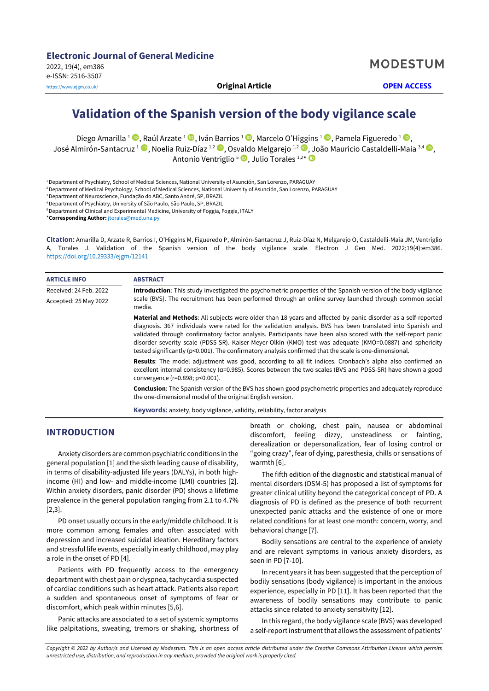**MODESTUM** 

# **Validation of the Spanish version of the body vigilance scale**

Diego Amarilla <sup>1</sup> , Raúl Arzate <sup>1</sup> , Iván Barrios <sup>1</sup> , Marcelo O'Higgins <sup>1</sup> , Pamela Figueredo <sup>1</sup> , José Almirón-Santacruz <sup>1</sup> [,](https://orcid.org/0000-0001-9621-2291) Noelia Ruiz-Díaz <sup>1,2</sup> , Osvaldo Melgarejo <sup>1,2</sup> , João Mauricio Castaldelli-Maia <sup>3,4</sup> , Antonio Ventriglio <sup>5</sup> D[,](https://orcid.org/0000-0002-3934-7007) Julio Torales 1,2\*

<sup>1</sup>Department of Psychiatry, School of Medical Sciences, National University of Asunción, San Lorenzo, PARAGUAY

<sup>2</sup>Department of Medical Psychology, School of Medical Sciences, National University of Asunción, San Lorenzo, PARAGUAY

<sup>3</sup>Department of Neuroscience, Fundação do ABC, Santo André, SP, BRAZIL

<sup>4</sup>Department of Psychiatry, University of São Paulo, São Paulo, SP, BRAZIL

<sup>5</sup> Department of Clinical and Experimental Medicine, University of Foggia, Foggia, ITALY

\***Corresponding Author:** [jtorales@med.una.py](mailto:jtorales@med.una.py)

**Citation:** Amarilla D, Arzate R, Barrios I, O'Higgins M, Figueredo P, Almirón-Santacruz J, Ruiz-Díaz N, Melgarejo O, Castaldelli-Maia JM, Ventriglio A, Torales J. Validation of the Spanish version of the body vigilance scale. Electron J Gen Med. 2022;19(4):em386. <https://doi.org/10.29333/ejgm/12141>

| <b>ARTICLE INFO</b>    | <b>ABSTRACT</b><br><b>Introduction:</b> This study investigated the psychometric properties of the Spanish version of the body vigilance                                                                                                                                                                                                                                                                                                                                                                                                                                    |  |  |  |  |  |
|------------------------|-----------------------------------------------------------------------------------------------------------------------------------------------------------------------------------------------------------------------------------------------------------------------------------------------------------------------------------------------------------------------------------------------------------------------------------------------------------------------------------------------------------------------------------------------------------------------------|--|--|--|--|--|
| Received: 24 Feb. 2022 |                                                                                                                                                                                                                                                                                                                                                                                                                                                                                                                                                                             |  |  |  |  |  |
| Accepted: 25 May 2022  | scale (BVS). The recruitment has been performed through an online survey launched through common social<br>media.                                                                                                                                                                                                                                                                                                                                                                                                                                                           |  |  |  |  |  |
|                        | <b>Material and Methods:</b> All subjects were older than 18 years and affected by panic disorder as a self-reported<br>diagnosis. 367 individuals were rated for the validation analysis. BVS has been translated into Spanish and<br>validated through confirmatory factor analysis. Participants have been also scored with the self-report panic<br>disorder severity scale (PDSS-SR). Kaiser-Meyer-Olkin (KMO) test was adequate (KMO=0.0887) and sphericity<br>tested significantly (p<0.001). The confirmatory analysis confirmed that the scale is one-dimensional. |  |  |  |  |  |
|                        | <b>Results:</b> The model adjustment was good, according to all fit indices. Cronbach's alpha also confirmed an<br>excellent internal consistency ( $\alpha$ =0.985). Scores between the two scales (BVS and PDSS-SR) have shown a good<br>convergence (r=0.898; p<0.001).                                                                                                                                                                                                                                                                                                  |  |  |  |  |  |
|                        | <b>Conclusion:</b> The Spanish version of the BVS has shown good psychometric properties and adequately reproduce<br>the one-dimensional model of the original English version.                                                                                                                                                                                                                                                                                                                                                                                             |  |  |  |  |  |
|                        | <b>Keywords:</b> anxiety, body vigilance, validity, reliability, factor analysis                                                                                                                                                                                                                                                                                                                                                                                                                                                                                            |  |  |  |  |  |

**INTRODUCTION**

Anxiety disorders are common psychiatric conditions in the general population [1] and the sixth leading cause of disability, in terms of disability-adjusted life years (DALYs), in both highincome (HI) and low- and middle-income (LMI) countries [2]. Within anxiety disorders, panic disorder (PD) shows a lifetime prevalence in the general population ranging from 2.1 to 4.7% [2,3].

PD onset usually occurs in the early/middle childhood. It is more common among females and often associated with depression and increased suicidal ideation. Hereditary factors and stressful life events, especially in early childhood, may play a role in the onset of PD [4].

Patients with PD frequently access to the emergency department with chest pain or dyspnea, tachycardia suspected of cardiac conditions such as heart attack. Patients also report a sudden and spontaneous onset of symptoms of fear or discomfort, which peak within minutes [5,6].

Panic attacks are associated to a set of systemic symptoms like palpitations, sweating, tremors or shaking, shortness of breath or choking, chest pain, nausea or abdominal discomfort, feeling dizzy, unsteadiness or fainting, derealization or depersonalization, fear of losing control or "going crazy", fear of dying, paresthesia, chills or sensations of warmth [6].

The fifth edition of the diagnostic and statistical manual of mental disorders (DSM-5) has proposed a list of symptoms for greater clinical utility beyond the categorical concept of PD. A diagnosis of PD is defined as the presence of both recurrent unexpected panic attacks and the existence of one or more related conditions for at least one month: concern, worry, and behavioral change [7].

Bodily sensations are central to the experience of anxiety and are relevant symptoms in various anxiety disorders, as seen in PD [7-10].

In recent years it has been suggested that the perception of bodily sensations (body vigilance) is important in the anxious experience, especially in PD [11]. It has been reported that the awareness of bodily sensations may contribute to panic attacks since related to anxiety sensitivity [12].

In this regard, the body vigilance scale (BVS) was developed a self-report instrument that allows the assessment of patients'

Copyright © 2022 by Author/s and Licensed by Modestum. This is an open access article distributed under the Creative Commons Attribution License which permits *unrestricted use, distribution, and reproduction in any medium, provided the original work is properly cited.*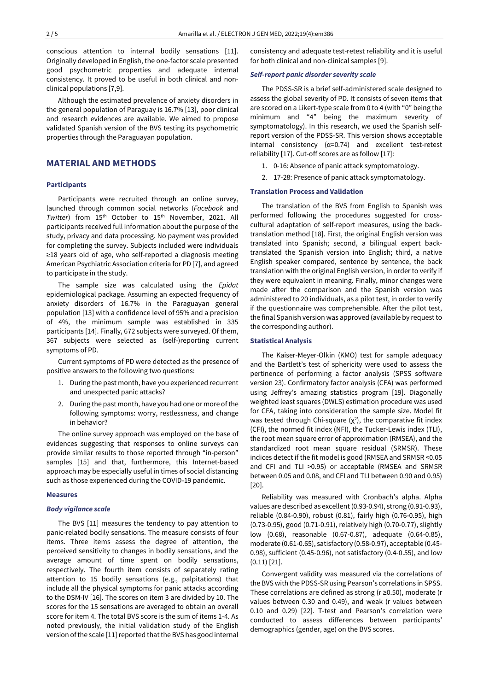conscious attention to internal bodily sensations [11]. Originally developed in English, the one-factor scale presented good psychometric properties and adequate internal consistency. It proved to be useful in both clinical and nonclinical populations [7,9].

Although the estimated prevalence of anxiety disorders in the general population of Paraguay is 16.7% [13], poor clinical and research evidences are available. We aimed to propose validated Spanish version of the BVS testing its psychometric properties through the Paraguayan population.

# **MATERIAL AND METHODS**

### **Participants**

Participants were recruited through an online survey, launched through common social networks (*Facebook* and *Twitter*) from 15<sup>th</sup> October to 15<sup>th</sup> November, 2021. All participants received full information about the purpose of the study, privacy and data processing. No payment was provided for completing the survey. Subjects included were individuals ≥18 years old of age, who self-reported a diagnosis meeting American Psychiatric Association criteria for PD [7], and agreed to participate in the study.

The sample size was calculated using the *Epidat* epidemiological package. Assuming an expected frequency of anxiety disorders of 16.7% in the Paraguayan general population [13] with a confidence level of 95% and a precision of 4%, the minimum sample was established in 335 participants [14]. Finally, 672 subjects were surveyed. Of them, 367 subjects were selected as (self-)reporting current symptoms of PD.

Current symptoms of PD were detected as the presence of positive answers to the following two questions:

- 1. During the past month, have you experienced recurrent and unexpected panic attacks?
- 2. During the past month, have you had one or more ofthe following symptoms: worry, restlessness, and change in behavior?

The online survey approach was employed on the base of evidences suggesting that responses to online surveys can provide similar results to those reported through "in-person" samples [15] and that, furthermore, this Internet-based approach may be especially useful in times of social distancing such as those experienced during the COVID-19 pandemic.

#### **Measures**

#### *Body vigilance scale*

The BVS [11] measures the tendency to pay attention to panic-related bodily sensations. The measure consists of four items. Three items assess the degree of attention, the perceived sensitivity to changes in bodily sensations, and the average amount of time spent on bodily sensations, respectively. The fourth item consists of separately rating attention to 15 bodily sensations (e.g., palpitations) that include all the physical symptoms for panic attacks according to the DSM-IV [16]. The scores on item 3 are divided by 10. The scores for the 15 sensations are averaged to obtain an overall score for item 4. The total BVS score is the sum of items 1-4. As noted previously, the initial validation study of the English version of the scale [11] reported that the BVS has good internal consistency and adequate test-retest reliability and it is useful for both clinical and non-clinical samples [9].

#### *Self-report panic disorder severity scale*

The PDSS-SR is a brief self-administered scale designed to assess the global severity of PD. It consists of seven items that are scored on a Likert-type scale from 0 to 4 (with "0" being the minimum and "4" being the maximum severity of symptomatology). In this research, we used the Spanish selfreport version of the PDSS-SR. This version shows acceptable internal consistency ( $\alpha$ =0.74) and excellent test-retest reliability [17]. Cut-off scores are as follow [17]:

- 1. 0-16: Absence of panic attack symptomatology.
- 2. 17-28: Presence of panic attack symptomatology.

#### **Translation Process and Validation**

The translation of the BVS from English to Spanish was performed following the procedures suggested for crosscultural adaptation of self-report measures, using the backtranslation method [18]. First, the original English version was translated into Spanish; second, a bilingual expert backtranslated the Spanish version into English; third, a native English speaker compared, sentence by sentence, the back translation with the original English version, in order to verify if they were equivalent in meaning. Finally, minor changes were made after the comparison and the Spanish version was administered to 20 individuals, as a pilot test, in order to verify if the questionnaire was comprehensible. After the pilot test, the final Spanish version was approved (available by request to the corresponding author).

#### **Statistical Analysis**

The Kaiser-Meyer-Olkin (KMO) test for sample adequacy and the Bartlett's test of sphericity were used to assess the pertinence of performing a factor analysis (SPSS software version 23). Confirmatory factor analysis (CFA) was performed using Jeffrey's amazing statistics program [19]. Diagonally weighted least squares (DWLS) estimation procedure was used for CFA, taking into consideration the sample size. Model fit was tested through Chi-square  $(x^2)$ , the comparative fit index (CFI), the normed fit index (NFI), the Tucker-Lewis index (TLI), the root mean square error of approximation (RMSEA), and the standardized root mean square residual (SRMSR). These indices detect if the fit model is good (RMSEA and SRMSR <0.05 and CFI and TLI >0.95) or acceptable (RMSEA and SRMSR between 0.05 and 0.08, and CFI and TLI between 0.90 and 0.95) [20].

Reliability was measured with Cronbach's alpha. Alpha values are described as excellent (0.93-0.94), strong (0.91-0.93), reliable (0.84-0.90), robust (0.81), fairly high (0.76-0.95), high (0.73-0.95), good (0.71-0.91), relatively high (0.70-0.77), slightly low (0.68), reasonable (0.67-0.87), adequate (0.64-0.85), moderate (0.61-0.65), satisfactory (0.58-0.97), acceptable (0.45- 0.98), sufficient (0.45-0.96), not satisfactory (0.4-0.55), and low (0.11) [21].

Convergent validity was measured via the correlations of the BVS with the PDSS-SR using Pearson's correlations in SPSS. These correlations are defined as strong (r ≥0.50), moderate (r values between 0.30 and 0.49), and weak (r values between 0.10 and 0.29) [22]. T-test and Pearson's correlation were conducted to assess differences between participants' demographics (gender, age) on the BVS scores.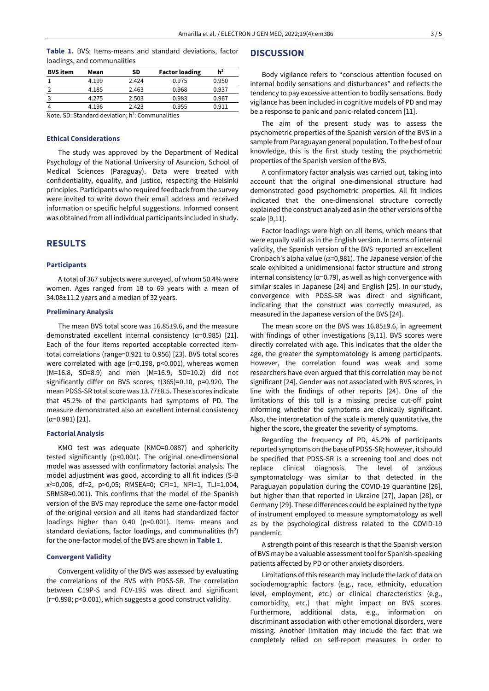|  |  |                             |  | Table 1. BVS: Items-means and standard deviations, factor |  |
|--|--|-----------------------------|--|-----------------------------------------------------------|--|
|  |  | loadings, and communalities |  |                                                           |  |

| <b>BVS</b> item | Mean  | SD    | <b>Factor loading</b> | h <sup>2</sup> |  |  |  |  |
|-----------------|-------|-------|-----------------------|----------------|--|--|--|--|
|                 | 4.199 | 2.424 | 0.975                 | 0.950          |  |  |  |  |
|                 | 4.185 | 2.463 | 0.968                 | 0.937          |  |  |  |  |
|                 | 4.275 | 2.503 | 0.983                 | 0.967          |  |  |  |  |
|                 | 4.196 | 2.423 | 0.955                 | 0.911          |  |  |  |  |
|                 |       |       |                       |                |  |  |  |  |

Note. SD: Standard deviation; h<sup>2</sup>: Communalities

#### **Ethical Considerations**

The study was approved by the Department of Medical Psychology of the National University of Asuncion, School of Medical Sciences (Paraguay). Data were treated with confidentiality, equality, and justice, respecting the Helsinki principles. Participants who required feedback from the survey were invited to write down their email address and received information or specific helpful suggestions. Informed consent was obtained from all individual participants included in study.

## **RESULTS**

#### **Participants**

A total of 367 subjects were surveyed, of whom 50.4% were women. Ages ranged from 18 to 69 years with a mean of 34.08±11.2 years and a median of 32 years.

#### **Preliminary Analysis**

The mean BVS total score was 16.85±9.6, and the measure demonstrated excellent internal consistency (α=0.985) [21]. Each of the four items reported acceptable corrected itemtotal correlations (range=0.921 to 0.956) [23]. BVS total scores were correlated with age (r=0.198, p<0.001), whereas women (M=16.8, SD=8.9) and men (M=16.9, SD=10.2) did not significantly differ on BVS scores, t(365)=0.10, p=0.920. The mean PDSS-SR total score was 13.77±8.5. These scores indicate that 45.2% of the participants had symptoms of PD. The measure demonstrated also an excellent internal consistency (α=0.981) [21].

#### **Factorial Analysis**

KMO test was adequate (KMO=0.0887) and sphericity tested significantly (p<0.001). The original one-dimensional model was assessed with confirmatory factorial analysis. The model adjustment was good, according to all fit indices (S-B x <sup>2</sup>=0,006, df=2, p>0,05; RMSEA=0; CFI=1, NFI=1, TLI=1.004, SRMSR=0.001). This confirms that the model of the Spanish version of the BVS may reproduce the same one-factor model of the original version and all items had standardized factor loadings higher than 0.40 (p<0.001). Items- means and standard deviations, factor loadings, and communalities  $(h^2)$ for the one-factor model of the BVS are shown in **Table 1**.

#### **Convergent Validity**

Convergent validity of the BVS was assessed by evaluating the correlations of the BVS with PDSS-SR. The correlation between C19P-S and FCV-19S was direct and significant (r=0.898; p<0.001), which suggests a good construct validity.

# **DISCUSSION**

Body vigilance refers to "conscious attention focused on internal bodily sensations and disturbances" and reflects the tendency to pay excessive attention to bodily sensations. Body vigilance has been included in cognitive models of PD and may be a response to panic and panic-related concern [11].

The aim of the present study was to assess the psychometric properties of the Spanish version of the BVS in a sample from Paraguayan general population. To the best of our knowledge, this is the first study testing the psychometric properties of the Spanish version of the BVS.

A confirmatory factor analysis was carried out, taking into account that the original one-dimensional structure had demonstrated good psychometric properties. All fit indices indicated that the one-dimensional structure correctly explained the construct analyzed as in the other versions of the scale [9,11].

Factor loadings were high on all items, which means that were equally valid as in the English version. In terms of internal validity, the Spanish version of the BVS reported an excellent Cronbach's alpha value ( $\alpha$ =0,981). The Japanese version of the scale exhibited a unidimensional factor structure and strong internal consistency ( $\alpha$ =0.79), as well as high convergence with similar scales in Japanese [24] and English [25]. In our study, convergence with PDSS-SR was direct and significant, indicating that the construct was correctly measured, as measured in the Japanese version of the BVS [24].

The mean score on the BVS was 16.85±9.6, in agreement with findings of other investigations [9,11]. BVS scores were directly correlated with age. This indicates that the older the age, the greater the symptomatology is among participants. However, the correlation found was weak and some researchers have even argued that this correlation may be not significant [24]. Gender was not associated with BVS scores, in line with the findings of other reports [24]. One of the limitations of this toll is a missing precise cut-off point informing whether the symptoms are clinically significant. Also, the interpretation of the scale is merely quantitative, the higher the score, the greater the severity of symptoms.

Regarding the frequency of PD, 45.2% of participants reported symptoms on the base of PDSS-SR; however, it should be specified that PDSS-SR is a screening tool and does not replace clinical diagnosis. The level of anxious symptomatology was similar to that detected in the Paraguayan population during the COVID-19 quarantine [26], but higher than that reported in Ukraine [27], Japan [28], or Germany [29]. These differences could be explained by the type of instrument employed to measure symptomatology as well as by the psychological distress related to the COVID-19 pandemic.

A strength point of this research is that the Spanish version of BVS may be a valuable assessment tool for Spanish-speaking patients affected by PD or other anxiety disorders.

Limitations of this research may include the lack of data on sociodemographic factors (e.g., race, ethnicity, education level, employment, etc.) or clinical characteristics (e.g., comorbidity, etc.) that might impact on BVS scores. Furthermore, additional data, e.g., information on discriminant association with other emotional disorders, were missing. Another limitation may include the fact that we completely relied on self-report measures in order to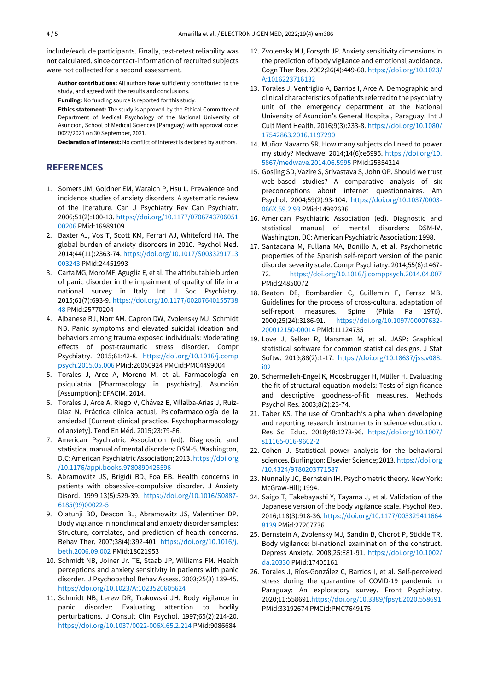include/exclude participants. Finally, test-retest reliability was not calculated, since contact-information of recruited subjects were not collected for a second assessment.

**Author contributions:** All authors have sufficiently contributed to the study, and agreed with the results and conclusions.

**Funding:** No funding source is reported for this study.

**Ethics statement:** The study is approved by the Ethical Committee of Department of Medical Psychology of the National University of Asuncion, School of Medical Sciences (Paraguay) with approval code: 0027/2021 on 30 September, 2021.

**Declaration of interest:** No conflict of interest is declared by authors.

# **REFERENCES**

- 1. Somers JM, Goldner EM, Waraich P, Hsu L. Prevalence and incidence studies of anxiety disorders: A systematic review of the literature. Can J Psychiatry Rev Can Psychiatr. 2006;51(2):100-13. [https://doi.org/10.1177/0706743706051](https://doi.org/10.1177/070674370605100206) [00206](https://doi.org/10.1177/070674370605100206) PMid:16989109
- 2. Baxter AJ, Vos T, Scott KM, Ferrari AJ, Whiteford HA. The global burden of anxiety disorders in 2010. Psychol Med. 2014;44(11):2363-74. [https://doi.org/10.1017/S0033291713](https://doi.org/10.1017/S0033291713003243) [003243](https://doi.org/10.1017/S0033291713003243) PMid:24451993
- 3. Carta MG, Moro MF, Aguglia E, et al. The attributable burden of panic disorder in the impairment of quality of life in a national survey in Italy. Int J Soc Psychiatry. 2015;61(7):693-9. [https://doi.org/10.1177/00207640155738](https://doi.org/10.1177/0020764015573848) [48](https://doi.org/10.1177/0020764015573848) PMid:25770204
- 4. Albanese BJ, Norr AM, Capron DW, Zvolensky MJ, Schmidt NB. Panic symptoms and elevated suicidal ideation and behaviors among trauma exposed individuals: Moderating effects of post-traumatic stress disorder. Compr Psychiatry. 2015;61:42-8. [https://doi.org/10.1016/j.comp](https://doi.org/10.1016/j.comppsych.2015.05.006) [psych.2015.05.006](https://doi.org/10.1016/j.comppsych.2015.05.006) PMid:26050924 PMCid:PMC4499004
- 5. Torales J, Arce A, Moreno M, et al. Farmacología en psiquiatría [Pharmacology in psychiatry]. Asunción [Assumption]: EFACIM. 2014.
- 6. Torales J, Arce A, Riego V, Chávez E, Villalba-Arias J, Ruiz-Diaz N. Práctica clínica actual. Psicofarmacología de la ansiedad [Current clinical practice. Psychopharmacology of anxiety]. Tend En Méd. 2015;23:79-86.
- 7. American Psychiatric Association (ed). Diagnostic and statistical manual of mental disorders: DSM-5. Washington, D.C: American Psychiatric Association; 2013. [https://doi.org](https://doi.org/10.1176/appi.books.9780890425596) [/10.1176/appi.books.9780890425596](https://doi.org/10.1176/appi.books.9780890425596)
- 8. Abramowitz JS, Brigidi BD, Foa EB. Health concerns in patients with obsessive-compulsive disorder. J Anxiety Disord. 1999;13(5):529-39. [https://doi.org/10.1016/S0887-](https://doi.org/10.1016/S0887-6185(99)00022-5) [6185\(99\)00022-5](https://doi.org/10.1016/S0887-6185(99)00022-5)
- 9. Olatunji BO, Deacon BJ, Abramowitz JS, Valentiner DP. Body vigilance in nonclinical and anxiety disorder samples: Structure, correlates, and prediction of health concerns. Behav Ther. 2007;38(4):392-401. [https://doi.org/10.1016/j.](https://doi.org/10.1016/j.beth.2006.09.002) [beth.2006.09.002](https://doi.org/10.1016/j.beth.2006.09.002) PMid:18021953
- 10. Schmidt NB, Joiner Jr. TE, Staab JP, Williams FM. Health perceptions and anxiety sensitivity in patients with panic disorder. J Psychopathol Behav Assess. 2003;25(3):139-45. <https://doi.org/10.1023/A:1023520605624>
- 11. Schmidt NB, Lerew DR, Trakowski JH. Body vigilance in panic disorder: Evaluating attention to bodily perturbations. J Consult Clin Psychol. 1997;65(2):214-20. <https://doi.org/10.1037/0022-006X.65.2.214> PMid:9086684
- 12. Zvolensky MJ, Forsyth JP. Anxiety sensitivity dimensions in the prediction of body vigilance and emotional avoidance. Cogn Ther Res. 2002;26(4):449-60. [https://doi.org/10.1023/](https://doi.org/10.1023/A:1016223716132) [A:1016223716132](https://doi.org/10.1023/A:1016223716132)
- 13. Torales J, Ventriglio A, Barrios I, Arce A. Demographic and clinical characteristics of patients referred to the psychiatry unit of the emergency department at the National University of Asunción's General Hospital, Paraguay. Int J Cult Ment Health. 2016;9(3):233-8. [https://doi.org/10.1080/](https://doi.org/10.1080/17542863.2016.1197290) [17542863.2016.1197290](https://doi.org/10.1080/17542863.2016.1197290)
- 14. Muñoz Navarro SR. How many subjects do I need to power my study? Medwave. 2014;14(6):e5995. [https://doi.org/10.](https://doi.org/10.5867/medwave.2014.06.5995) [5867/medwave.2014.06.5995](https://doi.org/10.5867/medwave.2014.06.5995) PMid:25354214
- 15. Gosling SD, Vazire S, Srivastava S, JohnOP. Should we trust web-based studies? A comparative analysis of six preconceptions about internet questionnaires. Am Psychol. 2004;59(2):93-104. [https://doi.org/10.1037/0003-](https://doi.org/10.1037/0003-066X.59.2.93) [066X.59.2.93](https://doi.org/10.1037/0003-066X.59.2.93) PMid:14992636
- 16. American Psychiatric Association (ed). Diagnostic and statistical manual of mental disorders: DSM-IV. Washington, DC: American Psychiatric Association; 1998.
- 17. Santacana M, Fullana MA, Bonillo A, et al. Psychometric properties of the Spanish self-report version of the panic disorder severity scale. Compr Psychiatry. 2014;55(6):1467- 72. <https://doi.org/10.1016/j.comppsych.2014.04.007> PMid:24850072
- 18. Beaton DE, Bombardier C, Guillemin F, Ferraz MB. Guidelines for the process of cross-cultural adaptation of self-report measures. Spine (Phila Pa 1976). 2000;25(24):3186-91. [https://doi.org/10.1097/00007632-](https://doi.org/10.1097/00007632-200012150-00014) [200012150-00014](https://doi.org/10.1097/00007632-200012150-00014) PMid:11124735
- 19. Love J, Selker R, Marsman M, et al. JASP: Graphical statistical software for common statistical designs. J Stat Softw. 2019;88(2):1-17. [https://doi.org/10.18637/jss.v088.](https://doi.org/10.18637/jss.v088.i02) [i02](https://doi.org/10.18637/jss.v088.i02)
- 20. Schermelleh-Engel K, Moosbrugger H, Müller H. Evaluating the fit of structural equation models: Tests of significance and descriptive goodness-of-fit measures. Methods Psychol Res. 2003;8(2):23-74.
- 21. Taber KS. The use of Cronbach's alpha when developing and reporting research instruments in science education. Res Sci Educ. 2018;48:1273-96. [https://doi.org/10.1007/](https://doi.org/10.1007/s11165-016-9602-2) [s11165-016-9602-2](https://doi.org/10.1007/s11165-016-9602-2)
- 22. Cohen J. Statistical power analysis for the behavioral sciences. Burlington: Elsevier Science; 2013. [https://doi.org](https://doi.org/10.4324/9780203771587) [/10.4324/9780203771587](https://doi.org/10.4324/9780203771587)
- 23. Nunnally JC, Bernstein IH. Psychometric theory. New York: McGraw-Hill; 1994.
- 24. Saigo T, Takebayashi Y, Tayama J, et al. Validation of the Japanese version of the body vigilance scale. Psychol Rep. 2016;118(3):918-36. [https://doi.org/10.1177/003329411664](https://doi.org/10.1177/0033294116648139) [8139](https://doi.org/10.1177/0033294116648139) PMid:27207736
- 25. Bernstein A, Zvolensky MJ, Sandin B, Chorot P, Stickle TR. Body vigilance: bi-national examination of the construct. Depress Anxiety. 2008;25:E81-91. [https://doi.org/10.1002/](https://doi.org/10.1002/da.20330) [da.20330](https://doi.org/10.1002/da.20330) PMid:17405161
- 26. Torales J, Ríos-González C, Barrios I, et al. Self-perceived stress during the quarantine of COVID-19 pandemic in Paraguay: An exploratory survey. Front Psychiatry. 2020;11:55869[1.https://doi.org/10.3389/fpsyt.2020.558691](https://doi.org/10.3389/fpsyt.2020.558691) PMid:33192674 PMCid:PMC7649175